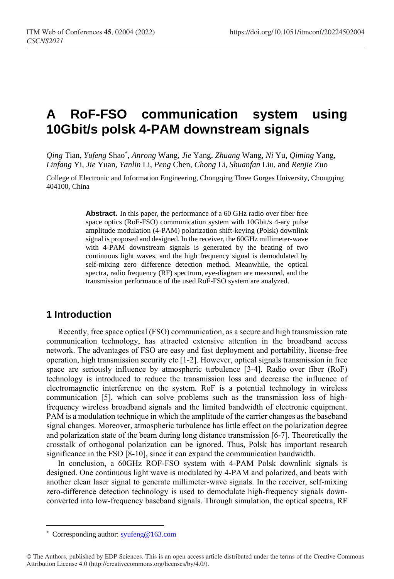# **A RoF-FSO communication system using 10Gbit/s polsk 4-PAM downstream signals**

*Qing* Tian, *Yufeng* Shao\* , *Anrong* Wang, *Jie* Yang, *Zhuang* Wang, *Ni* Yu, *Qiming* Yang, *Linfang* Yi, *Jie* Yuan, *Yanlin* Li, *Peng* Chen, *Chong* Li, *Shuanfan* Liu, and *Renjie* Zuo

College of Electronic and Information Engineering, Chongqing Three Gorges University, Chongqing 404100, China

> **Abstract.** In this paper, the performance of a 60 GHz radio over fiber free space optics (RoF-FSO) communication system with 10Gbit/s 4-ary pulse amplitude modulation (4-PAM) polarization shift-keying (Polsk) downlink signal is proposed and designed. In the receiver, the 60GHz millimeter-wave with 4-PAM downstream signals is generated by the beating of two continuous light waves, and the high frequency signal is demodulated by self-mixing zero difference detection method. Meanwhile, the optical spectra, radio frequency (RF) spectrum, eye-diagram are measured, and the transmission performance of the used RoF-FSO system are analyzed.

#### **1 Introduction**

Recently, free space optical (FSO) communication, as a secure and high transmission rate communication technology, has attracted extensive attention in the broadband access network. The advantages of FSO are easy and fast deployment and portability, license-free operation, high transmission security etc [1-2]. However, optical signals transmission in free space are seriously influence by atmospheric turbulence [3-4]. Radio over fiber (RoF) technology is introduced to reduce the transmission loss and decrease the influence of electromagnetic interference on the system. RoF is a potential technology in wireless communication [5], which can solve problems such as the transmission loss of highfrequency wireless broadband signals and the limited bandwidth of electronic equipment. PAM is a modulation technique in which the amplitude of the carrier changes as the baseband signal changes. Moreover, atmospheric turbulence has little effect on the polarization degree and polarization state of the beam during long distance transmission [6-7]. Theoretically the crosstalk of orthogonal polarization can be ignored. Thus, Polsk has important research significance in the FSO [8-10], since it can expand the communication bandwidth.

In conclusion, a 60GHz ROF-FSO system with 4-PAM Polsk downlink signals is designed. One continuous light wave is modulated by 4-PAM and polarized, and beats with another clean laser signal to generate millimeter-wave signals. In the receiver, self-mixing zero-difference detection technology is used to demodulate high-frequency signals downconverted into low-frequency baseband signals. Through simulation, the optical spectra, RF

 $\overline{a}$ 

<sup>\*</sup> Corresponding author[: syufeng@163.com](mailto:syufeng@163.com)

<sup>©</sup> The Authors, published by EDP Sciences. This is an open access article distributed under the terms of the Creative Commons Attribution License 4.0 (http://creativecommons.org/licenses/by/4.0/).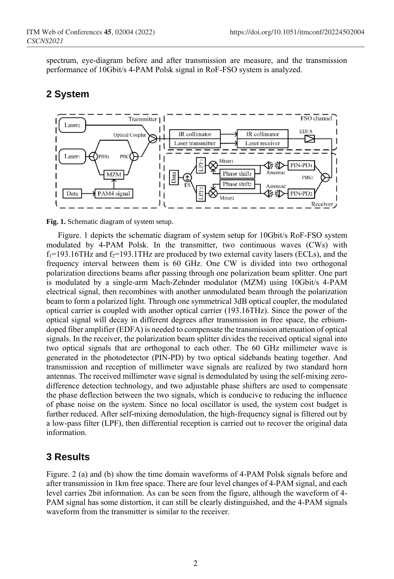spectrum, eye-diagram before and after transmission are measure, and the transmission performance of 10Gbit/s 4-PAM Polsk signal in RoF-FSO system is analyzed.

#### **2 System**



**Fig. 1.** Schematic diagram of system setup.

Figure. 1 depicts the schematic diagram of system setup for 10Gbit/s RoF-FSO system modulated by 4-PAM Polsk. In the transmitter, two continuous waves (CWs) with  $f_1$ =193.16THz and  $f_2$ =193.1THz are produced by two external cavity lasers (ECLs), and the frequency interval between them is 60 GHz. One CW is divided into two orthogonal polarization directions beams after passing through one polarization beam splitter. One part is modulated by a single-arm Mach-Zehnder modulator (MZM) using 10Gbit/s 4-PAM electrical signal, then recombines with another unmodulated beam through the polarization beam to form a polarized light. Through one symmetrical 3dB optical coupler, the modulated optical carrier is coupled with another optical carrier (193.16THz). Since the power of the optical signal will decay in different degrees after transmission in free space, the erbiumdoped fiber amplifier (EDFA) is needed to compensate the transmission attenuation of optical signals. In the receiver, the polarization beam splitter divides the received optical signal into two optical signals that are orthogonal to each other. The 60 GHz millimeter wave is generated in the photodetector (PIN-PD) by two optical sidebands beating together. And transmission and reception of millimeter wave signals are realized by two standard horn antennas. The received millimeter wave signal is demodulated by using the self-mixing zerodifference detection technology, and two adjustable phase shifters are used to compensate the phase deflection between the two signals, which is conducive to reducing the influence of phase noise on the system. Since no local oscillator is used, the system cost budget is further reduced. After self-mixing demodulation, the high-frequency signal is filtered out by a low-pass filter (LPF), then differential reception is carried out to recover the original data information.

## **3 Results**

Figure. 2 (a) and (b) show the time domain waveforms of 4-PAM Polsk signals before and after transmission in 1km free space. There are four level changes of 4-PAM signal, and each level carries 2bit information. As can be seen from the figure, although the waveform of 4- PAM signal has some distortion, it can still be clearly distinguished, and the 4-PAM signals waveform from the transmitter is similar to the receiver.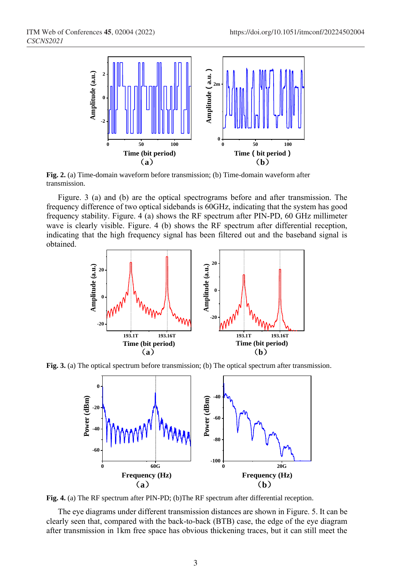

**Fig. 2.** (a) Time-domain waveform before transmission; (b) Time-domain waveform after transmission.

Figure. 3 (a) and (b) are the optical spectrograms before and after transmission. The frequency difference of two optical sidebands is 60GHz, indicating that the system has good frequency stability. Figure. 4 (a) shows the RF spectrum after PIN-PD, 60 GHz millimeter wave is clearly visible. Figure. 4 (b) shows the RF spectrum after differential reception, indicating that the high frequency signal has been filtered out and the baseband signal is obtained.



**Fig. 3.** (a) The optical spectrum before transmission; (b) The optical spectrum after transmission.



**Fig. 4.** (a) The RF spectrum after PIN-PD; (b)The RF spectrum after differential reception.

The eye diagrams under different transmission distances are shown in Figure. 5. It can be clearly seen that, compared with the back-to-back (BTB) case, the edge of the eye diagram after transmission in 1km free space has obvious thickening traces, but it can still meet the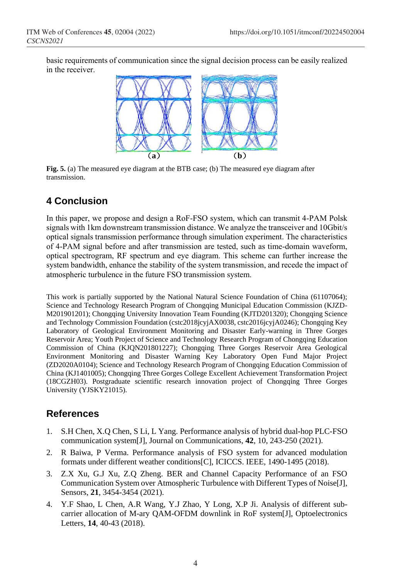basic requirements of communication since the signal decision process can be easily realized in the receiver.



**Fig. 5.** (a) The measured eye diagram at the BTB case; (b) The measured eye diagram after transmission.

## **4 Conclusion**

In this paper, we propose and design a RoF-FSO system, which can transmit 4-PAM Polsk signals with 1km downstream transmission distance. We analyze the transceiver and 10Gbit/s optical signals transmission performance through simulation experiment. The characteristics of 4-PAM signal before and after transmission are tested, such as time-domain waveform, optical spectrogram, RF spectrum and eye diagram. This scheme can further increase the system bandwidth, enhance the stability of the system transmission, and recede the impact of atmospheric turbulence in the future FSO transmission system.

This work is partially supported by the National Natural Science Foundation of China (61107064); Science and Technology Research Program of Chongqing Municipal Education Commission (KJZD-M201901201); Chongqing University Innovation Team Founding (KJTD201320); Chongqing Science and Technology Commission Foundation (cstc2018jcyjAX0038, cstc2016jcyjA0246); Chongqing Key Laboratory of Geological Environment Monitoring and Disaster Early-warning in Three Gorges Reservoir Area; Youth Project of Science and Technology Research Program of Chongqing Education Commission of China (KJQN201801227); Chongqing Three Gorges Reservoir Area Geological Environment Monitoring and Disaster Warning Key Laboratory Open Fund Major Project (ZD2020A0104); Science and Technology Research Program of Chongqing Education Commission of China (KJ1401005); Chongqing Three Gorges College Excellent Achievement Transformation Project (18CGZH03). Postgraduate scientific research innovation project of Chongqing Three Gorges University (YJSKY21015).

## **References**

- 1. S.H Chen, X.Q Chen, S Li, L Yang. Performance analysis of hybrid dual-hop PLC-FSO communication system[J], Journal on Communications, **42**, 10, 243-250 (2021).
- 2. R Baiwa, P Verma. Performance analysis of FSO system for advanced modulation formats under different weather conditions[C], ICICCS. IEEE, 1490-1495 (2018).
- 3. Z.X Xu, G.J Xu, Z.Q Zheng. BER and Channel Capacity Performance of an FSO Communication System over Atmospheric Turbulence with Different Types of Noise[J], Sensors, **21**, 3454-3454 (2021).
- 4. Y.F Shao, L Chen, A.R Wang, Y.J Zhao, Y Long, X.P Ji. Analysis of different subcarrier allocation of M-ary QAM-OFDM downlink in RoF system[J], Optoelectronics Letters, **14**, 40-43 (2018).